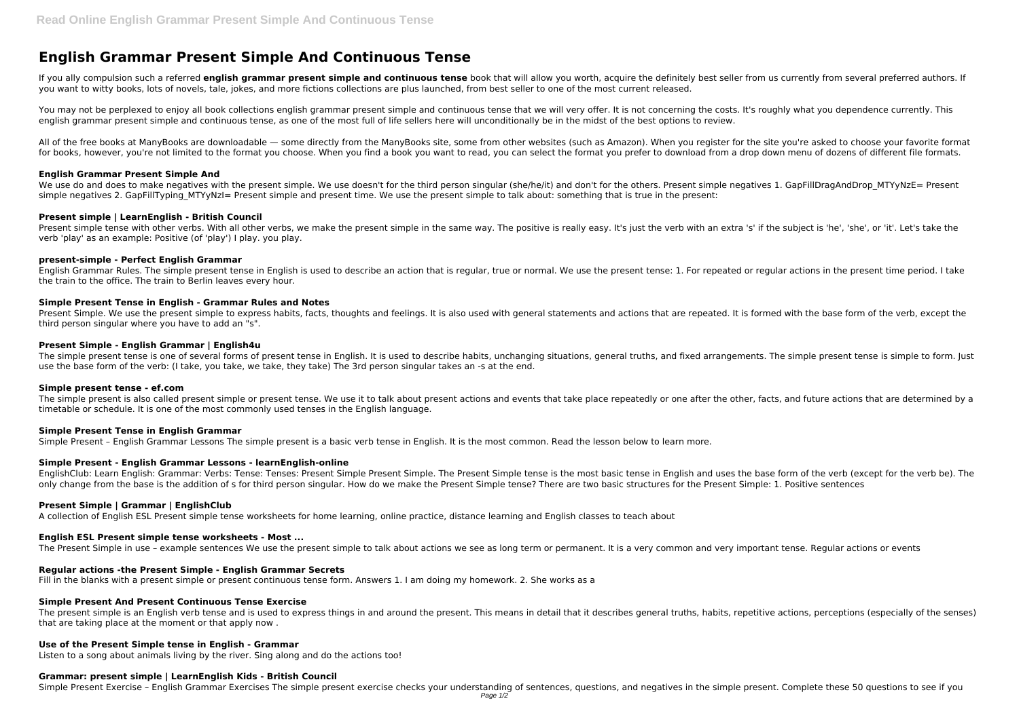# **English Grammar Present Simple And Continuous Tense**

If you ally compulsion such a referred *english grammar present simple and continuous tense* book that will allow you worth, acquire the definitely best seller from us currently from several preferred authors. If you want to witty books, lots of novels, tale, jokes, and more fictions collections are plus launched, from best seller to one of the most current released.

You may not be perplexed to enjoy all book collections english grammar present simple and continuous tense that we will very offer. It is not concerning the costs. It's roughly what you dependence currently. This english grammar present simple and continuous tense, as one of the most full of life sellers here will unconditionally be in the midst of the best options to review.

All of the free books at ManyBooks are downloadable — some directly from the ManyBooks site, some from other websites (such as Amazon). When you register for the site you're asked to choose your favorite format for books, however, you're not limited to the format you choose. When you find a book you want to read, you can select the format you prefer to download from a drop down menu of dozens of different file formats.

Present simple tense with other verbs. With all other verbs, we make the present simple in the same way. The positive is really easy. It's just the verb with an extra 's' if the subject is 'he', 'she', or 'it'. Let's take verb 'play' as an example: Positive (of 'play') I play. you play.

#### **English Grammar Present Simple And**

We use do and does to make negatives with the present simple. We use doesn't for the third person singular (she/he/it) and don't for the others. Present simple negatives 1. GapFillDragAndDrop\_MTYyNzE= Present simple negatives 2. GapFillTyping MTYyNzI= Present simple and present time. We use the present simple to talk about: something that is true in the present:

Present Simple. We use the present simple to express habits, facts, thoughts and feelings. It is also used with general statements and actions that are repeated. It is formed with the base form of the verb, except the third person singular where you have to add an "s".

The simple present tense is one of several forms of present tense in English. It is used to describe habits, unchanging situations, general truths, and fixed arrangements. The simple present tense is simple to form. Just use the base form of the verb: (I take, you take, we take, they take) The 3rd person singular takes an -s at the end.

The simple present is also called present simple or present tense. We use it to talk about present actions and events that take place repeatedly or one after the other, facts, and future actions that are determined by a timetable or schedule. It is one of the most commonly used tenses in the English language.

# **Present simple | LearnEnglish - British Council**

#### **present-simple - Perfect English Grammar**

English Grammar Rules. The simple present tense in English is used to describe an action that is regular, true or normal. We use the present tense: 1. For repeated or regular actions in the present time period. I take the train to the office. The train to Berlin leaves every hour.

#### **Simple Present Tense in English - Grammar Rules and Notes**

#### **Present Simple - English Grammar | English4u**

#### **Simple present tense - ef.com**

# **Simple Present Tense in English Grammar**

Simple Present – English Grammar Lessons The simple present is a basic verb tense in English. It is the most common. Read the lesson below to learn more.

# **Simple Present - English Grammar Lessons - learnEnglish-online**

EnglishClub: Learn English: Grammar: Verbs: Tense: Tenses: Present Simple Present Simple. The Present Simple tense is the most basic tense in English and uses the base form of the verb (except for the verb be). The only change from the base is the addition of s for third person singular. How do we make the Present Simple tense? There are two basic structures for the Present Simple: 1. Positive sentences

#### **Present Simple | Grammar | EnglishClub**

A collection of English ESL Present simple tense worksheets for home learning, online practice, distance learning and English classes to teach about

# **English ESL Present simple tense worksheets - Most ...**

The Present Simple in use – example sentences We use the present simple to talk about actions we see as long term or permanent. It is a very common and very important tense. Regular actions or events

# **Regular actions -the Present Simple - English Grammar Secrets**

Fill in the blanks with a present simple or present continuous tense form. Answers 1. I am doing my homework. 2. She works as a

# **Simple Present And Present Continuous Tense Exercise**

The present simple is an English verb tense and is used to express things in and around the present. This means in detail that it describes general truths, habits, repetitive actions, perceptions (especially of the senses) that are taking place at the moment or that apply now .

# **Use of the Present Simple tense in English - Grammar**

Listen to a song about animals living by the river. Sing along and do the actions too!

# **Grammar: present simple | LearnEnglish Kids - British Council**

Simple Present Exercise - English Grammar Exercises The simple present exercise checks your understanding of sentences, questions, and negatives in the simple present. Complete these 50 questions to see if you